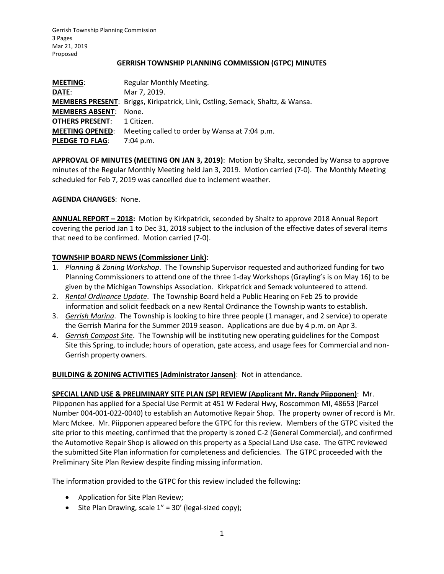### **GERRISH TOWNSHIP PLANNING COMMISSION (GTPC) MINUTES**

| <b>MEETING:</b>        | Regular Monthly Meeting.                                                      |
|------------------------|-------------------------------------------------------------------------------|
| DATE:                  | Mar 7, 2019.                                                                  |
|                        | MEMBERS PRESENT: Briggs, Kirkpatrick, Link, Ostling, Semack, Shaltz, & Wansa. |
| <b>MEMBERS ABSENT:</b> | None.                                                                         |
| <b>OTHERS PRESENT:</b> | 1 Citizen.                                                                    |
| <b>MEETING OPENED:</b> | Meeting called to order by Wansa at 7:04 p.m.                                 |
| <b>PLEDGE TO FLAG:</b> | $7:04$ p.m.                                                                   |

**APPROVAL OF MINUTES (MEETING ON JAN 3, 2019)**: Motion by Shaltz, seconded by Wansa to approve minutes of the Regular Monthly Meeting held Jan 3, 2019. Motion carried (7-0). The Monthly Meeting scheduled for Feb 7, 2019 was cancelled due to inclement weather.

# **AGENDA CHANGES**: None.

**ANNUAL REPORT – 2018:** Motion by Kirkpatrick, seconded by Shaltz to approve 2018 Annual Report covering the period Jan 1 to Dec 31, 2018 subject to the inclusion of the effective dates of several items that need to be confirmed. Motion carried (7-0).

### **TOWNSHIP BOARD NEWS (Commissioner Link)**:

- 1. *Planning & Zoning Workshop*. The Township Supervisor requested and authorized funding for two Planning Commissioners to attend one of the three 1-day Workshops (Grayling's is on May 16) to be given by the Michigan Townships Association. Kirkpatrick and Semack volunteered to attend.
- 2. *Rental Ordinance Update*. The Township Board held a Public Hearing on Feb 25 to provide information and solicit feedback on a new Rental Ordinance the Township wants to establish.
- 3. *Gerrish Marina*. The Township is looking to hire three people (1 manager, and 2 service) to operate the Gerrish Marina for the Summer 2019 season. Applications are due by 4 p.m. on Apr 3.
- 4. *Gerrish Compost Site*. The Township will be instituting new operating guidelines for the Compost Site this Spring, to include; hours of operation, gate access, and usage fees for Commercial and non-Gerrish property owners.

# **BUILDING & ZONING ACTIVITIES (Administrator Jansen)**: Not in attendance.

**SPECIAL LAND USE & PRELIMINARY SITE PLAN (SP) REVIEW (Applicant Mr. Randy Piipponen)**: Mr. Piipponen has applied for a Special Use Permit at 451 W Federal Hwy, Roscommon MI, 48653 (Parcel Number 004-001-022-0040) to establish an Automotive Repair Shop. The property owner of record is Mr. Marc Mckee. Mr. Piipponen appeared before the GTPC for this review. Members of the GTPC visited the site prior to this meeting, confirmed that the property is zoned C-2 (General Commercial), and confirmed the Automotive Repair Shop is allowed on this property as a Special Land Use case. The GTPC reviewed the submitted Site Plan information for completeness and deficiencies. The GTPC proceeded with the Preliminary Site Plan Review despite finding missing information.

The information provided to the GTPC for this review included the following:

- Application for Site Plan Review;
- Site Plan Drawing, scale 1" = 30' (legal-sized copy);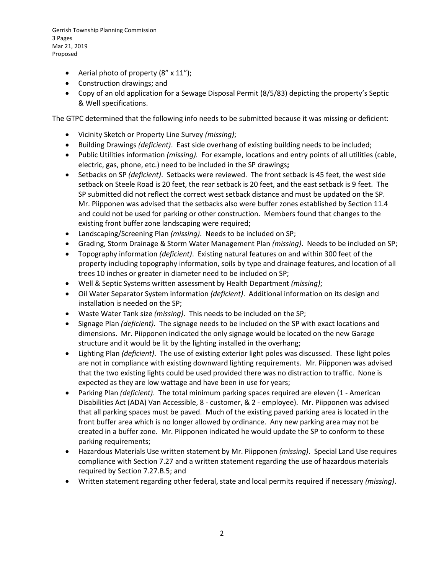Gerrish Township Planning Commission 3 Pages Mar 21, 2019 Proposed

- Aerial photo of property (8" x 11");
- Construction drawings; and
- Copy of an old application for a Sewage Disposal Permit (8/5/83) depicting the property's Septic & Well specifications.

The GTPC determined that the following info needs to be submitted because it was missing or deficient:

- Vicinity Sketch or Property Line Survey *(missing)*;
- Building Drawings *(deficient)*. East side overhang of existing building needs to be included;
- Public Utilities information *(missing).* For example, locations and entry points of all utilities (cable, electric, gas, phone, etc.) need to be included in the SP drawings**;**
- Setbacks on SP *(deficient)*. Setbacks were reviewed. The front setback is 45 feet, the west side setback on Steele Road is 20 feet, the rear setback is 20 feet, and the east setback is 9 feet. The SP submitted did not reflect the correct west setback distance and must be updated on the SP. Mr. Piipponen was advised that the setbacks also were buffer zones established by Section 11.4 and could not be used for parking or other construction. Members found that changes to the existing front buffer zone landscaping were required;
- Landscaping/Screening Plan *(missing)*. Needs to be included on SP;
- Grading, Storm Drainage & Storm Water Management Plan *(missing)*. Needs to be included on SP;
- Topography information *(deficient)*. Existing natural features on and within 300 feet of the property including topography information, soils by type and drainage features, and location of all trees 10 inches or greater in diameter need to be included on SP;
- Well & Septic Systems written assessment by Health Department *(missing)*;
- Oil Water Separator System information *(deficient)*. Additional information on its design and installation is needed on the SP;
- Waste Water Tank size *(missing)*. This needs to be included on the SP;
- Signage Plan *(deficient)*. The signage needs to be included on the SP with exact locations and dimensions. Mr. Piipponen indicated the only signage would be located on the new Garage structure and it would be lit by the lighting installed in the overhang;
- Lighting Plan *(deficient)*. The use of existing exterior light poles was discussed. These light poles are not in compliance with existing downward lighting requirements. Mr. Piipponen was advised that the two existing lights could be used provided there was no distraction to traffic. None is expected as they are low wattage and have been in use for years;
- Parking Plan *(deficient)*. The total minimum parking spaces required are eleven (1 American Disabilities Act (ADA) Van Accessible, 8 - customer, & 2 - employee). Mr. Piipponen was advised that all parking spaces must be paved. Much of the existing paved parking area is located in the front buffer area which is no longer allowed by ordinance. Any new parking area may not be created in a buffer zone. Mr. Piipponen indicated he would update the SP to conform to these parking requirements;
- Hazardous Materials Use written statement by Mr. Piipponen *(missing)*. Special Land Use requires compliance with Section 7.27 and a written statement regarding the use of hazardous materials required by Section 7.27.B.5; and
- Written statement regarding other federal, state and local permits required if necessary *(missing)*.